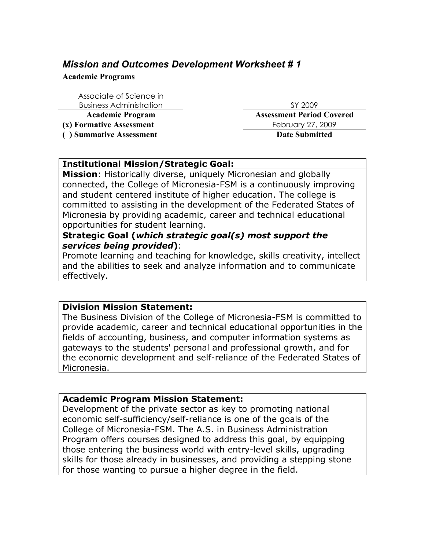# *Mission and Outcomes Development Worksheet # 1*

**Academic Programs**

Associate of Science in Business Administration SY 2009

**( ) Summative Assessment Date Submitted**

**Academic Program Assessment Period Covered (x) Formative Assessment** February 27, 2009

### **Institutional Mission/Strategic Goal:**

**Mission**: Historically diverse, uniquely Micronesian and globally connected, the College of Micronesia-FSM is a continuously improving and student centered institute of higher education. The college is committed to assisting in the development of the Federated States of Micronesia by providing academic, career and technical educational opportunities for student learning.

## **Strategic Goal (***which strategic goal(s) most support the services being provided***)**:

Promote learning and teaching for knowledge, skills creativity, intellect and the abilities to seek and analyze information and to communicate effectively.

### **Division Mission Statement:**

The Business Division of the College of Micronesia-FSM is committed to provide academic, career and technical educational opportunities in the fields of accounting, business, and computer information systems as gateways to the students' personal and professional growth, and for the economic development and self-reliance of the Federated States of Micronesia.

### **Academic Program Mission Statement:**

Development of the private sector as key to promoting national economic self-sufficiency/self-reliance is one of the goals of the College of Micronesia-FSM. The A.S. in Business Administration Program offers courses designed to address this goal, by equipping those entering the business world with entry-level skills, upgrading skills for those already in businesses, and providing a stepping stone for those wanting to pursue a higher degree in the field.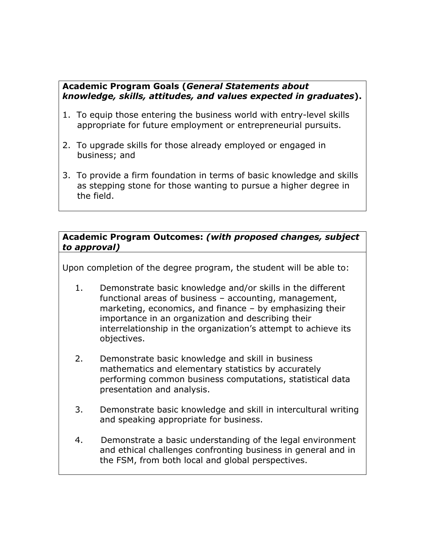## **Academic Program Goals (***General Statements about knowledge, skills, attitudes, and values expected in graduates***).**

- 1. To equip those entering the business world with entry-level skills appropriate for future employment or entrepreneurial pursuits.
- 2. To upgrade skills for those already employed or engaged in business; and
- 3. To provide a firm foundation in terms of basic knowledge and skills as stepping stone for those wanting to pursue a higher degree in the field.

### **Academic Program Outcomes:** *(with proposed changes, subject to approval)*

Upon completion of the degree program, the student will be able to:

- 1. Demonstrate basic knowledge and/or skills in the different functional areas of business – accounting, management, marketing, economics, and finance – by emphasizing their importance in an organization and describing their interrelationship in the organization's attempt to achieve its objectives.
- 2. Demonstrate basic knowledge and skill in business mathematics and elementary statistics by accurately performing common business computations, statistical data presentation and analysis.
- 3. Demonstrate basic knowledge and skill in intercultural writing and speaking appropriate for business.
- 4. Demonstrate a basic understanding of the legal environment and ethical challenges confronting business in general and in the FSM, from both local and global perspectives.